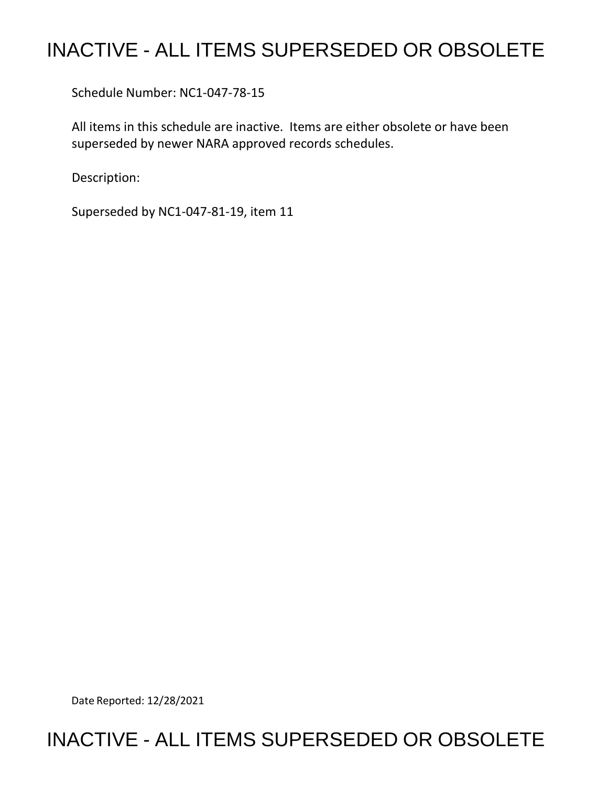## INACTIVE - ALL ITEMS SUPERSEDED OR OBSOLETE

Schedule Number: NC1-047-78-15

 All items in this schedule are inactive. Items are either obsolete or have been superseded by newer NARA approved records schedules.

Description:

Superseded by NC1-047-81-19, item 11

Date Reported: 12/28/2021

## INACTIVE - ALL ITEMS SUPERSEDED OR OBSOLETE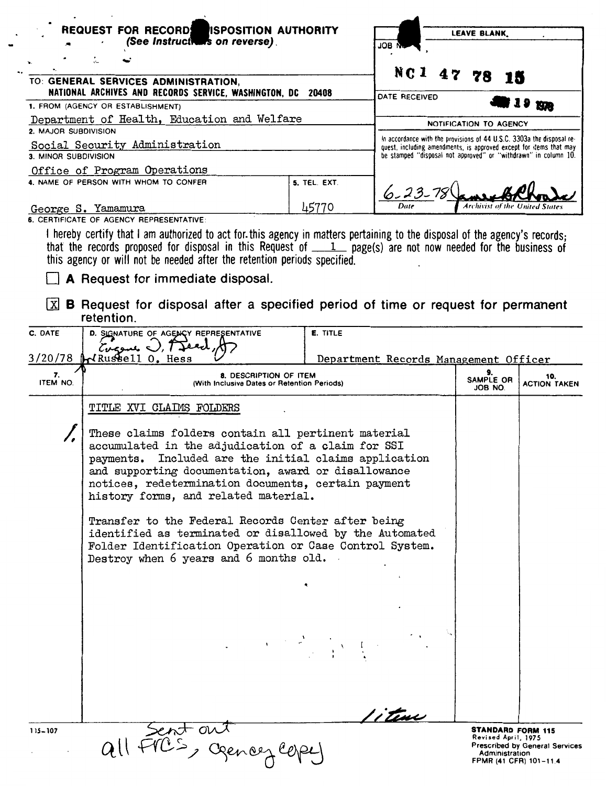| <b>REQUEST FOR RECORD ISPOSITION AUTHORITY</b>                                                                                                                                |                                                                                                                                                                                                                                                                                                                                                                                                                                                                                                   |                 | <b>LEAVE BLANK.</b>                   |  |                               |                                                 |                                                                 |
|-------------------------------------------------------------------------------------------------------------------------------------------------------------------------------|---------------------------------------------------------------------------------------------------------------------------------------------------------------------------------------------------------------------------------------------------------------------------------------------------------------------------------------------------------------------------------------------------------------------------------------------------------------------------------------------------|-----------------|---------------------------------------|--|-------------------------------|-------------------------------------------------|-----------------------------------------------------------------|
|                                                                                                                                                                               | (See Instructions on reverse).<br>JОB                                                                                                                                                                                                                                                                                                                                                                                                                                                             |                 |                                       |  |                               |                                                 |                                                                 |
|                                                                                                                                                                               | t.                                                                                                                                                                                                                                                                                                                                                                                                                                                                                                |                 |                                       |  |                               |                                                 |                                                                 |
| NC1 47 78<br>TO: GENERAL SERVICES ADMINISTRATION,                                                                                                                             |                                                                                                                                                                                                                                                                                                                                                                                                                                                                                                   |                 |                                       |  |                               |                                                 |                                                                 |
| NATIONAL ARCHIVES AND RECORDS SERVICE, WASHINGTON, DC 20408                                                                                                                   |                                                                                                                                                                                                                                                                                                                                                                                                                                                                                                   |                 | DATE RECEIVED                         |  |                               |                                                 |                                                                 |
| 1. FROM (AGENCY OR ESTABLISHMENT)                                                                                                                                             |                                                                                                                                                                                                                                                                                                                                                                                                                                                                                                   |                 |                                       |  |                               |                                                 | 19 1978                                                         |
| Department of Health, Education and Welfare<br>2. MAJOR SUBDIVISION                                                                                                           |                                                                                                                                                                                                                                                                                                                                                                                                                                                                                                   |                 |                                       |  | NOTIFICATION TO AGENCY        |                                                 |                                                                 |
| In accordance with the provisions of 44 U.S.C. 3303a the disposal re-<br>Social Security Administration<br>quest, including amendments, is approved except for items that may |                                                                                                                                                                                                                                                                                                                                                                                                                                                                                                   |                 |                                       |  |                               |                                                 |                                                                 |
| be stamped "disposal not approved" or "withdrawn" in column 10.<br>3. MINOR SUBDIVISION                                                                                       |                                                                                                                                                                                                                                                                                                                                                                                                                                                                                                   |                 |                                       |  |                               |                                                 |                                                                 |
|                                                                                                                                                                               | Office of Program Operations<br>4. NAME OF PERSON WITH WHOM TO CONFER                                                                                                                                                                                                                                                                                                                                                                                                                             | 5. TEL. EXT.    |                                       |  |                               |                                                 |                                                                 |
|                                                                                                                                                                               |                                                                                                                                                                                                                                                                                                                                                                                                                                                                                                   |                 |                                       |  |                               |                                                 |                                                                 |
| George S. Yamamura                                                                                                                                                            |                                                                                                                                                                                                                                                                                                                                                                                                                                                                                                   | 45770           | Date                                  |  | Archivist of the United State |                                                 |                                                                 |
|                                                                                                                                                                               | 6. CERTIFICATE OF AGENCY REPRESENTATIVE:                                                                                                                                                                                                                                                                                                                                                                                                                                                          |                 |                                       |  |                               |                                                 |                                                                 |
|                                                                                                                                                                               | I hereby certify that I am authorized to act for this agency in matters pertaining to the disposal of the agency's records;<br>that the records proposed for disposal in this Request of $1$ page(s) are not now needed for the business of                                                                                                                                                                                                                                                       |                 |                                       |  |                               |                                                 |                                                                 |
|                                                                                                                                                                               | this agency or will not be needed after the retention periods specified.                                                                                                                                                                                                                                                                                                                                                                                                                          |                 |                                       |  |                               |                                                 |                                                                 |
|                                                                                                                                                                               | A Request for immediate disposal.                                                                                                                                                                                                                                                                                                                                                                                                                                                                 |                 |                                       |  |                               |                                                 |                                                                 |
|                                                                                                                                                                               |                                                                                                                                                                                                                                                                                                                                                                                                                                                                                                   |                 |                                       |  |                               |                                                 |                                                                 |
| x                                                                                                                                                                             | <b>B</b> Request for disposal after a specified period of time or request for permanent                                                                                                                                                                                                                                                                                                                                                                                                           |                 |                                       |  |                               |                                                 |                                                                 |
|                                                                                                                                                                               | retention.                                                                                                                                                                                                                                                                                                                                                                                                                                                                                        |                 |                                       |  |                               |                                                 |                                                                 |
| C. DATE                                                                                                                                                                       | D. SIGNATURE OF AGENCY REPRESENTATIVE<br>${\cal L}$ ugene $\cup$ , ${\cal T}$ Jeed                                                                                                                                                                                                                                                                                                                                                                                                                | <b>E. TITLE</b> |                                       |  |                               |                                                 |                                                                 |
| 3/20/78                                                                                                                                                                       | HRussell O. Hess                                                                                                                                                                                                                                                                                                                                                                                                                                                                                  |                 | Department Records Management Officer |  |                               |                                                 |                                                                 |
| 7.<br>ITEM NO.                                                                                                                                                                | 8. DESCRIPTION OF ITEM<br>(With Inclusive Dates or Retention Periods)                                                                                                                                                                                                                                                                                                                                                                                                                             |                 |                                       |  | 9.<br>SAMPLE OR<br>JOB NO.    |                                                 | 10.<br><b>ACTION TAKEN</b>                                      |
|                                                                                                                                                                               | TITLE XVI CLAIMS FOLDERS                                                                                                                                                                                                                                                                                                                                                                                                                                                                          |                 |                                       |  |                               |                                                 |                                                                 |
|                                                                                                                                                                               | These claims folders contain all pertinent material<br>accumulated in the adjudication of a claim for SSI<br>Included are the initial claims application<br>payments.<br>and supporting documentation, award or disallowance                                                                                                                                                                                                                                                                      |                 |                                       |  |                               |                                                 |                                                                 |
|                                                                                                                                                                               |                                                                                                                                                                                                                                                                                                                                                                                                                                                                                                   |                 |                                       |  |                               |                                                 |                                                                 |
|                                                                                                                                                                               |                                                                                                                                                                                                                                                                                                                                                                                                                                                                                                   |                 |                                       |  |                               |                                                 |                                                                 |
|                                                                                                                                                                               |                                                                                                                                                                                                                                                                                                                                                                                                                                                                                                   |                 |                                       |  |                               |                                                 |                                                                 |
|                                                                                                                                                                               | notices, redetermination documents, certain payment                                                                                                                                                                                                                                                                                                                                                                                                                                               |                 |                                       |  |                               |                                                 |                                                                 |
|                                                                                                                                                                               | history forms, and related material.                                                                                                                                                                                                                                                                                                                                                                                                                                                              |                 |                                       |  |                               |                                                 |                                                                 |
|                                                                                                                                                                               | Transfer to the Federal Records Center after being<br>identified as terminated or disallowed by the Automated<br>Folder Identification Operation or Case Control System.                                                                                                                                                                                                                                                                                                                          |                 |                                       |  |                               |                                                 |                                                                 |
|                                                                                                                                                                               |                                                                                                                                                                                                                                                                                                                                                                                                                                                                                                   |                 |                                       |  |                               |                                                 |                                                                 |
|                                                                                                                                                                               | Destroy when 6 years and 6 months old.                                                                                                                                                                                                                                                                                                                                                                                                                                                            |                 |                                       |  |                               |                                                 |                                                                 |
|                                                                                                                                                                               |                                                                                                                                                                                                                                                                                                                                                                                                                                                                                                   |                 |                                       |  |                               |                                                 |                                                                 |
|                                                                                                                                                                               |                                                                                                                                                                                                                                                                                                                                                                                                                                                                                                   |                 |                                       |  |                               |                                                 |                                                                 |
|                                                                                                                                                                               |                                                                                                                                                                                                                                                                                                                                                                                                                                                                                                   |                 |                                       |  |                               |                                                 |                                                                 |
|                                                                                                                                                                               |                                                                                                                                                                                                                                                                                                                                                                                                                                                                                                   |                 |                                       |  |                               |                                                 |                                                                 |
|                                                                                                                                                                               | $\label{eq:2} \begin{split} \mathcal{L}_{\text{max}}(\mathbf{y}) & = \mathcal{L}_{\text{max}}(\mathbf{y}) \mathcal{L}_{\text{max}}(\mathbf{y}) \\ & = \mathcal{L}_{\text{max}}(\mathbf{y}) \mathcal{L}_{\text{max}}(\mathbf{y}) \mathcal{L}_{\text{max}}(\mathbf{y}) \mathcal{L}_{\text{max}}(\mathbf{y}) \mathcal{L}_{\text{max}}(\mathbf{y}) \mathcal{L}_{\text{max}}(\mathbf{y}) \mathcal{L}_{\text{max}}(\mathbf{y}) \mathcal{L}_{\text{max}}(\mathbf{y}) \mathcal{L}_{\text{max}}(\mathbf{y$ |                 |                                       |  |                               |                                                 |                                                                 |
|                                                                                                                                                                               |                                                                                                                                                                                                                                                                                                                                                                                                                                                                                                   |                 |                                       |  |                               |                                                 |                                                                 |
|                                                                                                                                                                               |                                                                                                                                                                                                                                                                                                                                                                                                                                                                                                   |                 |                                       |  |                               |                                                 |                                                                 |
|                                                                                                                                                                               |                                                                                                                                                                                                                                                                                                                                                                                                                                                                                                   |                 |                                       |  |                               |                                                 |                                                                 |
|                                                                                                                                                                               |                                                                                                                                                                                                                                                                                                                                                                                                                                                                                                   |                 |                                       |  |                               |                                                 |                                                                 |
|                                                                                                                                                                               |                                                                                                                                                                                                                                                                                                                                                                                                                                                                                                   |                 | 'i tene                               |  |                               |                                                 |                                                                 |
| 115-107                                                                                                                                                                       | Sent out                                                                                                                                                                                                                                                                                                                                                                                                                                                                                          |                 |                                       |  |                               | <b>STANDARD FORM 115</b><br>Revised April, 1975 |                                                                 |
|                                                                                                                                                                               | all FICS, gences cope                                                                                                                                                                                                                                                                                                                                                                                                                                                                             |                 |                                       |  |                               | Administration                                  | <b>Prescribed by General Services</b><br>FPMR (41 CFR) 101-11.4 |